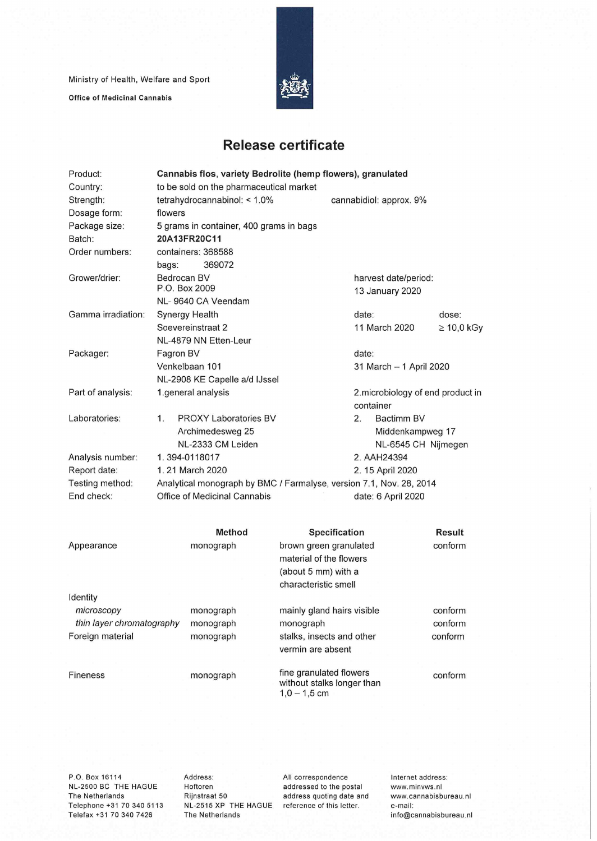Ministry of Health, Welfare and Sport

**Office of Medicinal Cannabis** 



## **Release certificate**

| Product:                               | Cannabis flos, variety Bedrolite (hemp flowers), granulated         |                              |                                                                          |                                      |                                                |                 |  |  |
|----------------------------------------|---------------------------------------------------------------------|------------------------------|--------------------------------------------------------------------------|--------------------------------------|------------------------------------------------|-----------------|--|--|
| Country:                               | to be sold on the pharmaceutical market                             |                              |                                                                          |                                      |                                                |                 |  |  |
| Strength:                              | tetrahydrocannabinol: < 1.0%                                        |                              |                                                                          |                                      | cannabidiol: approx. 9%                        |                 |  |  |
| Dosage form:                           | flowers                                                             |                              |                                                                          |                                      |                                                |                 |  |  |
| Package size:                          | 5 grams in container, 400 grams in bags                             |                              |                                                                          |                                      |                                                |                 |  |  |
| Batch:                                 | 20A13FR20C11                                                        |                              |                                                                          |                                      |                                                |                 |  |  |
| Order numbers:                         |                                                                     | containers: 368588           |                                                                          |                                      |                                                |                 |  |  |
|                                        | bags:                                                               | 369072                       |                                                                          |                                      |                                                |                 |  |  |
| Grower/drier:                          | Bedrocan BV<br>P.O. Box 2009<br>NL-9640 CA Veendam                  |                              |                                                                          |                                      | harvest date/period:<br>13 January 2020        |                 |  |  |
|                                        |                                                                     |                              |                                                                          |                                      |                                                |                 |  |  |
| Gamma irradiation:                     | Synergy Health                                                      |                              |                                                                          |                                      | date:                                          | dose:           |  |  |
|                                        | Soevereinstraat 2                                                   |                              |                                                                          |                                      | 11 March 2020                                  | $\geq 10,0$ kGy |  |  |
|                                        |                                                                     | NL-4879 NN Etten-Leur        |                                                                          |                                      |                                                |                 |  |  |
| Packager:                              | Fagron BV                                                           |                              |                                                                          |                                      | date:                                          |                 |  |  |
|                                        | Venkelbaan 101                                                      |                              |                                                                          |                                      | 31 March - 1 April 2020                        |                 |  |  |
|                                        | NL-2908 KE Capelle a/d IJssel                                       |                              |                                                                          |                                      |                                                |                 |  |  |
| Part of analysis:                      | 1.general analysis                                                  |                              |                                                                          |                                      | 2. microbiology of end product in<br>container |                 |  |  |
| Laboratories:                          | 1.                                                                  | <b>PROXY Laboratories BV</b> |                                                                          | 2.                                   | Bactimm BV                                     |                 |  |  |
|                                        | Archimedesweg 25                                                    |                              |                                                                          |                                      | Middenkampweg 17                               |                 |  |  |
|                                        | NL-2333 CM Leiden                                                   |                              |                                                                          |                                      | NL-6545 CH Nijmegen                            |                 |  |  |
| Analysis number:                       |                                                                     | 1.394-0118017                |                                                                          | 2. AAH24394                          |                                                |                 |  |  |
| Report date:                           |                                                                     | 1.21 March 2020              |                                                                          | 2. 15 April 2020                     |                                                |                 |  |  |
| Testing method:                        | Analytical monograph by BMC / Farmalyse, version 7.1, Nov. 28, 2014 |                              |                                                                          |                                      |                                                |                 |  |  |
| End check:                             |                                                                     | Office of Medicinal Cannabis | date: 6 April 2020                                                       |                                      |                                                |                 |  |  |
|                                        |                                                                     |                              |                                                                          |                                      |                                                |                 |  |  |
|                                        |                                                                     | <b>Method</b>                | Specification                                                            |                                      |                                                | Result          |  |  |
| Appearance                             | monograph                                                           |                              | brown green granulated<br>material of the flowers<br>(about 5 mm) with a |                                      |                                                | conform         |  |  |
|                                        |                                                                     |                              | characteristic smell                                                     |                                      |                                                |                 |  |  |
| Identity                               |                                                                     |                              |                                                                          |                                      |                                                |                 |  |  |
| microscopy                             |                                                                     | monograph                    |                                                                          |                                      |                                                | conform         |  |  |
| thin layer chromatography<br>monograph |                                                                     |                              | mainly gland hairs visible<br>monograph                                  |                                      |                                                | conform         |  |  |
| Foreign material                       |                                                                     | monograph                    |                                                                          | conform<br>stalks, insects and other |                                                |                 |  |  |
|                                        |                                                                     |                              | vermin are absent                                                        |                                      |                                                |                 |  |  |
| <b>Fineness</b>                        |                                                                     | monograph                    | fine granulated flowers<br>without stalks longer than<br>$1,0 - 1,5$ cm  | conform                              |                                                |                 |  |  |

P.O. Box 16114 NL-2500 BC THE HAGUE The Netherlands Telephone +31 70 340 5113 Telefax +31 70 340 7426

Address: Hoftoren Rijnstraat 50 The Netherlands

NL-2515 XP THE HAGUE reference of this letter. All correspondence addressed to the postai address quoting date and Internet address: www.minvws.nl www.cannabisbureau.n1 e-mail: info@cannabisbureau.nl